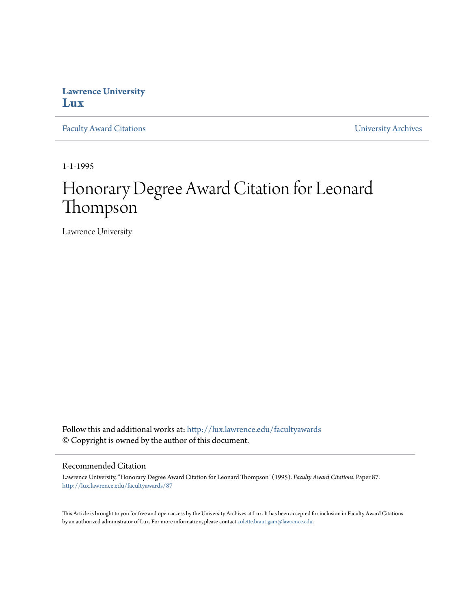## **Lawrence University [Lux](http://lux.lawrence.edu?utm_source=lux.lawrence.edu%2Ffacultyawards%2F87&utm_medium=PDF&utm_campaign=PDFCoverPages)**

[Faculty Award Citations](http://lux.lawrence.edu/facultyawards?utm_source=lux.lawrence.edu%2Ffacultyawards%2F87&utm_medium=PDF&utm_campaign=PDFCoverPages) **Example 2018** [University Archives](http://lux.lawrence.edu/archives?utm_source=lux.lawrence.edu%2Ffacultyawards%2F87&utm_medium=PDF&utm_campaign=PDFCoverPages)

1-1-1995

# Honorary Degree Award Citation for Leonard Thompson

Lawrence University

Follow this and additional works at: [http://lux.lawrence.edu/facultyawards](http://lux.lawrence.edu/facultyawards?utm_source=lux.lawrence.edu%2Ffacultyawards%2F87&utm_medium=PDF&utm_campaign=PDFCoverPages) © Copyright is owned by the author of this document.

#### Recommended Citation

Lawrence University, "Honorary Degree Award Citation for Leonard Thompson" (1995). *Faculty Award Citations.* Paper 87. [http://lux.lawrence.edu/facultyawards/87](http://lux.lawrence.edu/facultyawards/87?utm_source=lux.lawrence.edu%2Ffacultyawards%2F87&utm_medium=PDF&utm_campaign=PDFCoverPages)

This Article is brought to you for free and open access by the University Archives at Lux. It has been accepted for inclusion in Faculty Award Citations by an authorized administrator of Lux. For more information, please contact [colette.brautigam@lawrence.edu](mailto:colette.brautigam@lawrence.edu).